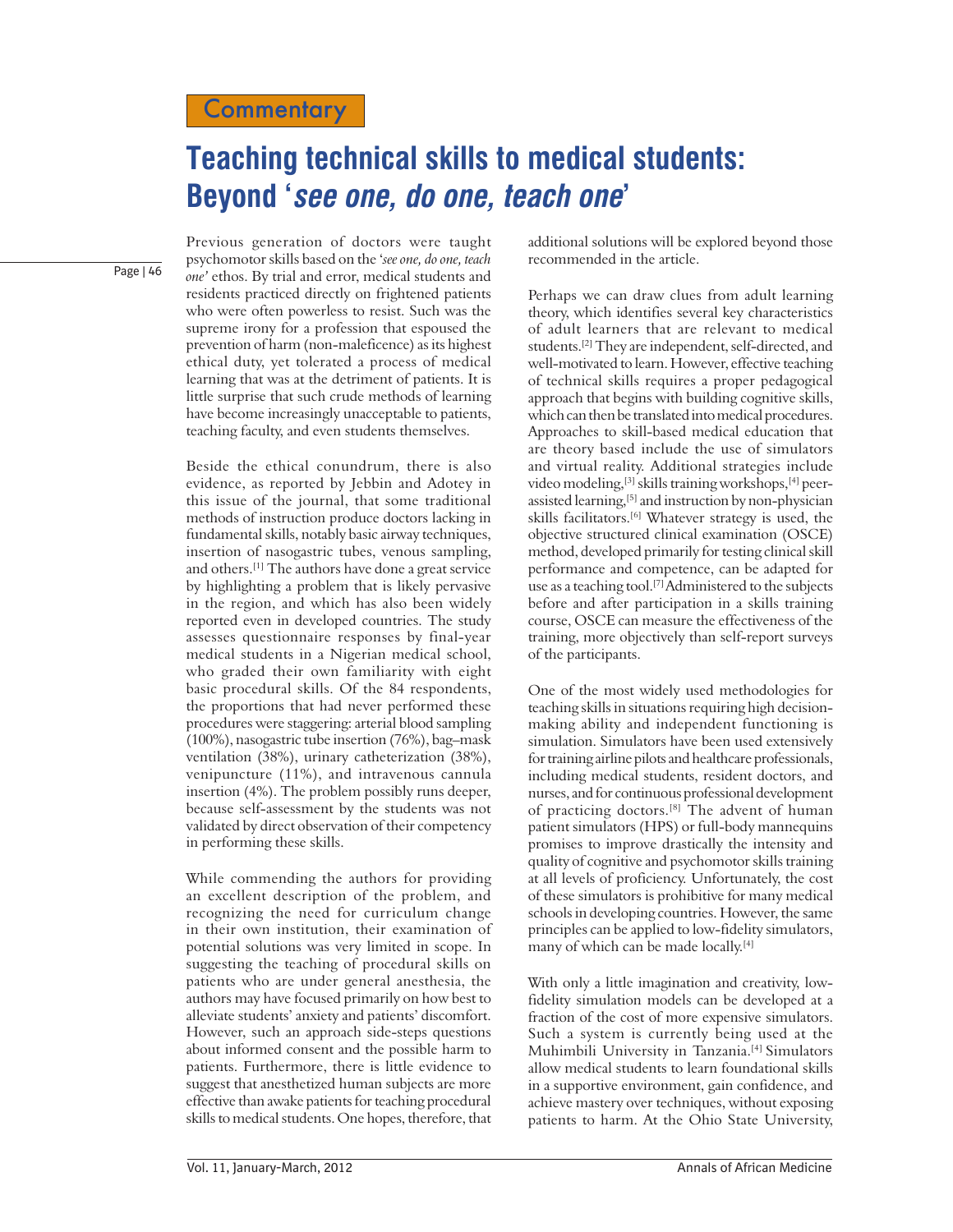## **Teaching technical skills to medical students: Beyond 'see one, do one, teach one'**

Page | 46

Previous generation of doctors were taught psychomotor skills based on the '*see one, do one, teach one'* ethos. By trial and error, medical students and residents practiced directly on frightened patients who were often powerless to resist. Such was the supreme irony for a profession that espoused the prevention of harm (non-maleficence) as its highest ethical duty, yet tolerated a process of medical learning that was at the detriment of patients. It is little surprise that such crude methods of learning have become increasingly unacceptable to patients, teaching faculty, and even students themselves.

Beside the ethical conundrum, there is also evidence, as reported by Jebbin and Adotey in this issue of the journal, that some traditional methods of instruction produce doctors lacking in fundamental skills, notably basic airway techniques, insertion of nasogastric tubes, venous sampling, and others.[1] The authors have done a great service by highlighting a problem that is likely pervasive in the region, and which has also been widely reported even in developed countries. The study assesses questionnaire responses by final-year medical students in a Nigerian medical school, who graded their own familiarity with eight basic procedural skills. Of the 84 respondents, the proportions that had never performed these procedures were staggering: arterial blood sampling (100%), nasogastric tube insertion (76%), bag–mask ventilation (38%), urinary catheterization (38%), venipuncture (11%), and intravenous cannula insertion (4%). The problem possibly runs deeper, because self-assessment by the students was not validated by direct observation of their competency in performing these skills.

While commending the authors for providing an excellent description of the problem, and recognizing the need for curriculum change in their own institution, their examination of potential solutions was very limited in scope. In suggesting the teaching of procedural skills on patients who are under general anesthesia, the authors may have focused primarily on how best to alleviate students' anxiety and patients' discomfort. However, such an approach side-steps questions about informed consent and the possible harm to patients. Furthermore, there is little evidence to suggest that anesthetized human subjects are more effective than awake patients for teaching procedural skills to medical students. One hopes, therefore, that

additional solutions will be explored beyond those recommended in the article.

Perhaps we can draw clues from adult learning theory, which identifies several key characteristics of adult learners that are relevant to medical students.[2] They are independent, self-directed, and well-motivated to learn. However, effective teaching of technical skills requires a proper pedagogical approach that begins with building cognitive skills, which can then be translated into medical procedures. Approaches to skill-based medical education that are theory based include the use of simulators and virtual reality. Additional strategies include video modeling,<sup>[3]</sup> skills training workshops,<sup>[4]</sup> peerassisted learning,<sup>[5]</sup> and instruction by non-physician skills facilitators.[6] Whatever strategy is used, the objective structured clinical examination (OSCE) method, developed primarily for testing clinical skill performance and competence, can be adapted for use as a teaching tool.<sup>[7]</sup> Administered to the subjects before and after participation in a skills training course, OSCE can measure the effectiveness of the training, more objectively than self-report surveys of the participants.

One of the most widely used methodologies for teaching skills in situations requiring high decisionmaking ability and independent functioning is simulation. Simulators have been used extensively for training airline pilots and healthcare professionals, including medical students, resident doctors, and nurses, and for continuous professional development of practicing doctors.[8] The advent of human patient simulators (HPS) or full-body mannequins promises to improve drastically the intensity and quality of cognitive and psychomotor skills training at all levels of proficiency. Unfortunately, the cost of these simulators is prohibitive for many medical schools in developing countries. However, the same principles can be applied to low-fidelity simulators, many of which can be made locally.[4]

With only a little imagination and creativity, lowfidelity simulation models can be developed at a fraction of the cost of more expensive simulators. Such a system is currently being used at the Muhimbili University in Tanzania.[4] Simulators allow medical students to learn foundational skills in a supportive environment, gain confidence, and achieve mastery over techniques, without exposing patients to harm. At the Ohio State University,